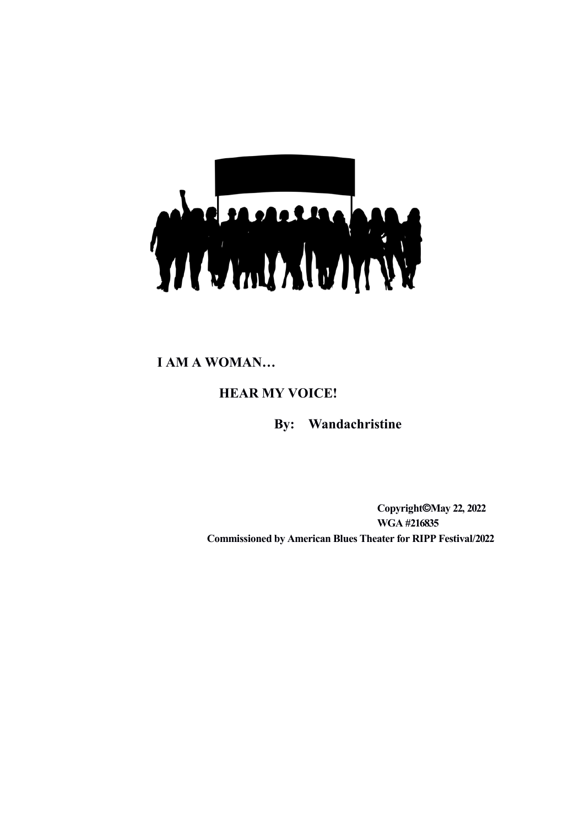

**I AM A WOMAN…**

**HEAR MY VOICE!**

**By: Wandachristine**

**Copyright©May 22, 2022 WGA #216835 Commissioned by American Blues Theater for RIPP Festival/2022**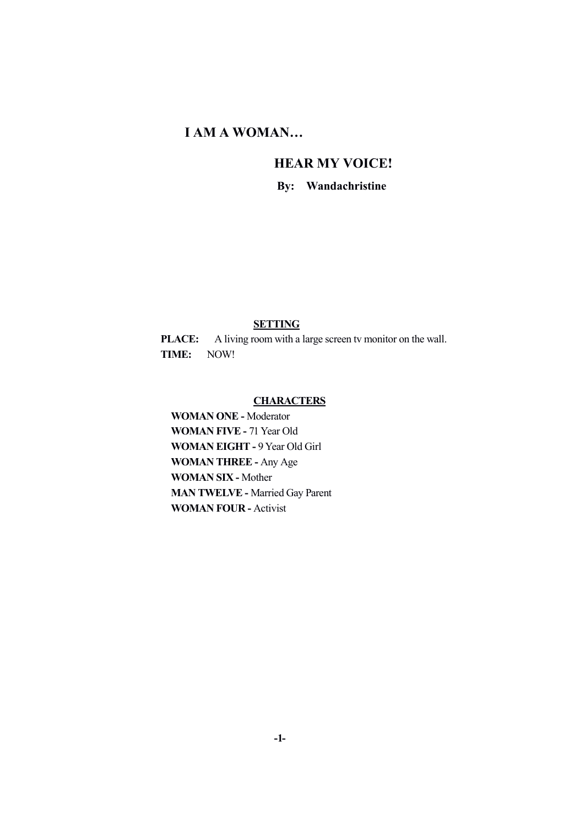# **I AM A WOMAN…**

# **HEAR MY VOICE!**

**By: Wandachristine**

## **SETTING**

**PLACE:** A living room with a large screen tv monitor on the wall. **TIME:** NOW!

## **CHARACTERS**

**WOMAN ONE -** Moderator **WOMAN FIVE -** 71 Year Old **WOMAN EIGHT -** 9 Year Old Girl **WOMAN THREE -** Any Age **WOMAN SIX -** Mother **MAN TWELVE -** Married Gay Parent **WOMAN FOUR -** Activist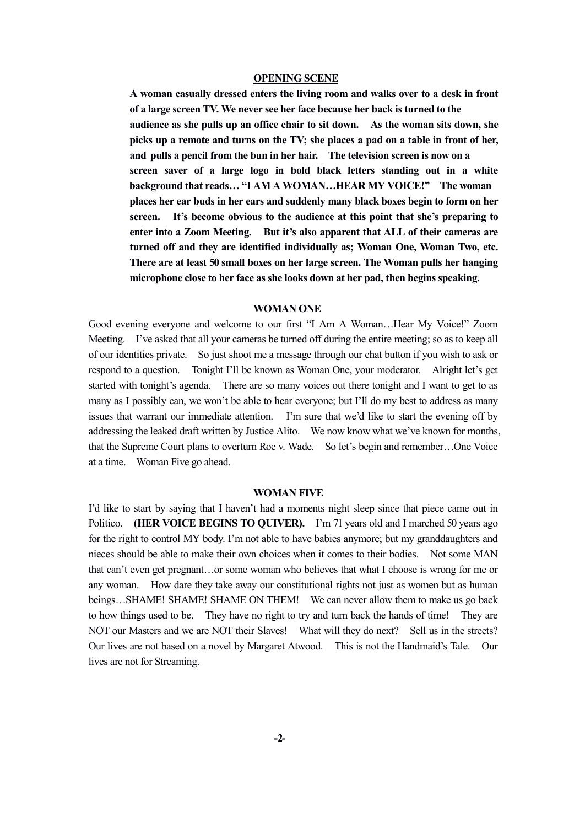### **OPENING SCENE**

**A woman casually dressed enters the living room and walks over to a desk in front of a large screen TV. We never see her face because her back is turned to the audience as she pulls up an office chair to sit down. As the woman sits down, she picks up a remote and turns on the TV; she places a pad on a table in front of her, and pulls a pencil from the bun in her hair. The television screen is now on a screen saver of a large logo in bold black letters standing out in a white background that reads… "I AM A WOMAN…HEAR MY VOICE!" The woman places her ear buds in her ears and suddenly many black boxes begin to form on her screen. It's become obvious to the audience at this point that she's preparing to enter into a Zoom Meeting. But it's also apparent that ALL of their cameras are turned off and they are identified individually as; Woman One, Woman Two, etc. There are at least 50 small boxes on her large screen. The Woman pulls her hanging microphone close to her face as she looks down at her pad, then begins speaking.**

#### **WOMAN ONE**

Good evening everyone and welcome to our first "I Am A Woman…Hear My Voice!" Zoom Meeting. I've asked that all your cameras be turned off during the entire meeting; so as to keep all of our identities private. So just shoot me a message through our chat button if you wish to ask or respond to a question. Tonight I'll be known as Woman One, your moderator. Alright let's get started with tonight's agenda. There are so many voices out there tonight and I want to get to as many as I possibly can, we won't be able to hear everyone; but I'll do my best to address as many issues that warrant our immediate attention. I'm sure that we'd like to start the evening off by addressing the leaked draft written by Justice Alito. We now know what we've known for months, that the Supreme Court plans to overturn Roe v. Wade. So let's begin and remember…One Voice at a time. Woman Five go ahead.

#### **WOMAN FIVE**

I'd like to start by saying that I haven't had a moments night sleep since that piece came out in Politico. **(HER VOICE BEGINS TO QUIVER).** I'm 71 years old and I marched 50 years ago for the right to control MY body. I'm not able to have babies anymore; but my granddaughters and nieces should be able to make their own choices when it comes to their bodies. Not some MAN that can't even get pregnant…or some woman who believes that what I choose is wrong for me or any woman. How dare they take away our constitutional rights not just as women but as human beings...SHAME! SHAME! SHAME ON THEM! We can never allow them to make us go back to how things used to be. They have no right to try and turn back the hands of time! They are NOT our Masters and we are NOT their Slaves! What will they do next? Sell us in the streets? Our lives are not based on a novel by Margaret Atwood. This is not the Handmaid's Tale. Our lives are not for Streaming.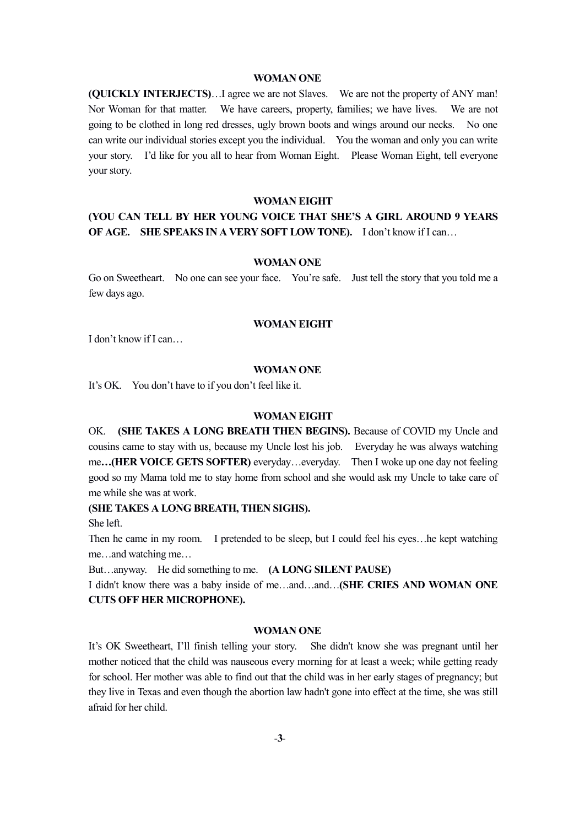#### **WOMAN ONE**

**(QUICKLY INTERJECTS)**…I agree we are not Slaves. We are not the property of ANY man! Nor Woman for that matter. We have careers, property, families; we have lives. We are not going to be clothed in long red dresses, ugly brown boots and wings around our necks. No one can write our individual stories except you the individual. You the woman and only you can write your story. I'd like for you all to hear from Woman Eight. Please Woman Eight, tell everyone your story.

#### **WOMAN EIGHT**

## **(YOU CAN TELL BY HER YOUNG VOICE THAT SHE'S A GIRL AROUND 9 YEARS OF AGE. SHE SPEAKS IN A VERY SOFT LOW TONE).** I don't know if I can…

#### **WOMAN ONE**

Go on Sweetheart. No one can see your face. You're safe. Just tell the story that you told me a few days ago.

### **WOMAN EIGHT**

I don't know if I can…

#### **WOMAN ONE**

It's OK. You don't have to if you don't feel like it.

#### **WOMAN EIGHT**

OK. **(SHE TAKES A LONG BREATH THEN BEGINS).** Because of COVID my Uncle and cousins came to stay with us, because my Uncle lost his job. Everyday he was always watching me**…(HER VOICE GETS SOFTER)** everyday…everyday. Then I woke up one day not feeling good so my Mama told me to stay home from school and she would ask my Uncle to take care of me while she was at work.

## **(SHE TAKES A LONG BREATH, THEN SIGHS).**

She left.

Then he came in my room. I pretended to be sleep, but I could feel his eyes…he kept watching me…and watching me…

But…anyway. He did something to me. **(A LONG SILENT PAUSE)**

I didn't know there was a baby inside of me…and…and…**(SHE CRIES AND WOMAN ONE CUTS OFF HER MICROPHONE).**

### **WOMAN ONE**

It's OK Sweetheart, I'll finish telling your story. She didn't know she was pregnant until her mother noticed that the child was nauseous every morning for at least a week; while getting ready for school. Her mother was able to find out that the child was in her early stages of pregnancy; but they live in Texas and even though the abortion law hadn't gone into effect at the time, she was still afraid for her child.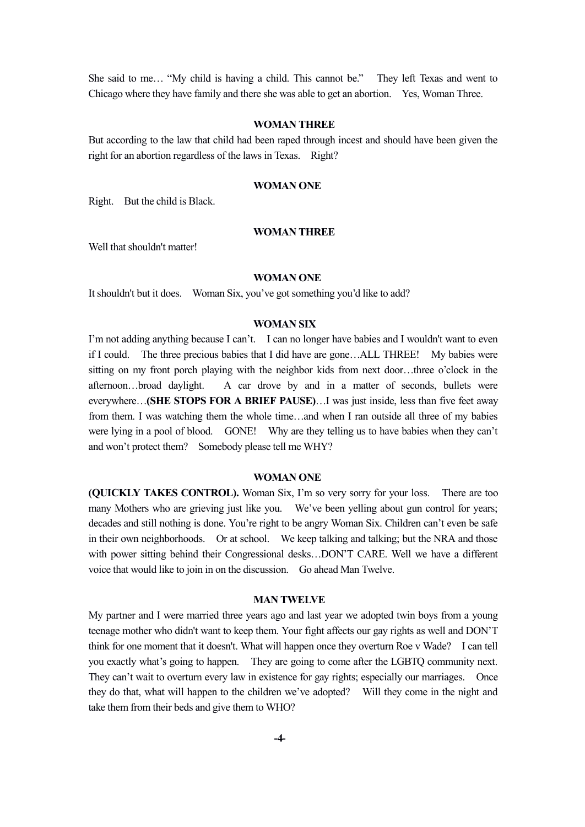She said to me… "My child is having a child. This cannot be." They left Texas and went to Chicago where they have family and there she was able to get an abortion. Yes, Woman Three.

### **WOMAN THREE**

But according to the law that child had been raped through incest and should have been given the right for an abortion regardless of the laws in Texas. Right?

### **WOMAN ONE**

Right. But the child is Black.

#### **WOMAN THREE**

Well that shouldn't matter!

#### **WOMAN ONE**

It shouldn't but it does. Woman Six, you've got something you'd like to add?

#### **WOMAN SIX**

I'm not adding anything because I can't. I can no longer have babies and I wouldn't want to even if I could. The three precious babies that I did have are gone…ALL THREE! My babies were sitting on my front porch playing with the neighbor kids from next door…three o'clock in the afternoon…broad daylight. A car drove by and in a matter of seconds, bullets were everywhere…**(SHE STOPS FOR A BRIEF PAUSE)**…I was just inside, less than five feet away from them. I was watching them the whole time…and when I ran outside all three of my babies were lying in a pool of blood. GONE! Why are they telling us to have babies when they can't and won't protect them? Somebody please tell me WHY?

#### **WOMAN ONE**

**(QUICKLY TAKES CONTROL).** Woman Six, I'm so very sorry for your loss. There are too many Mothers who are grieving just like you. We've been yelling about gun control for years; decades and still nothing is done. You're right to be angry Woman Six. Children can't even be safe in their own neighborhoods. Or at school. We keep talking and talking; but the NRA and those with power sitting behind their Congressional desks...DON'T CARE. Well we have a different voice that would like to join in on the discussion. Go ahead Man Twelve.

## **MAN TWELVE**

My partner and I were married three years ago and last year we adopted twin boys from a young teenage mother who didn't want to keep them. Your fight affects our gay rights as well and DON'T think for one moment that it doesn't. What will happen once they overturn Roe v Wade? I can tell you exactly what's going to happen. They are going to come after the LGBTQ community next. They can't wait to overturn every law in existence for gay rights; especially our marriages. Once they do that, what will happen to the children we've adopted? Will they come in the night and take them from their beds and give them to WHO?